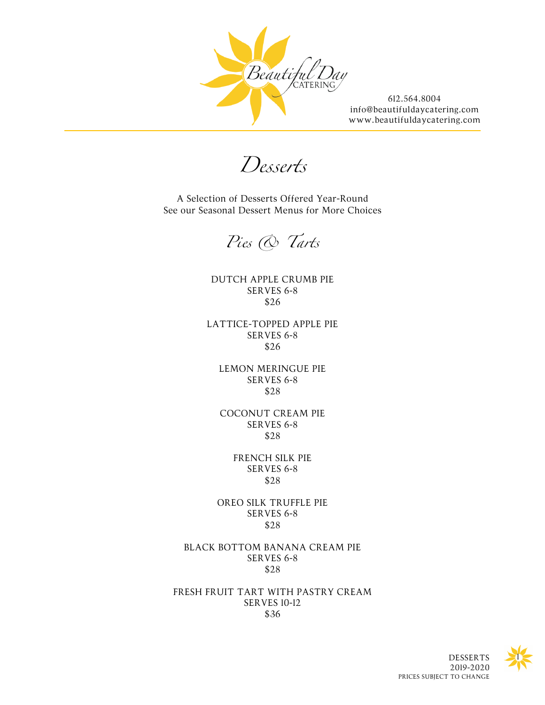

*Desserts*

A Selection of Desserts Offered Year-Round See our Seasonal Dessert Menus for More Choices

*Pies & Tarts*

DUTCH APPLE CRUMB PIE SERVES 6-8 \$26

LATTICE-TOPPED APPLE PIE SERVES 6-8 \$26

LEMON MERINGUE PIE SERVES 6-8 \$28

COCONUT CREAM PIE SERVES 6-8 \$28

> FRENCH SILK PIE SERVES 6-8 \$28

OREO SILK TRUFFLE PIE SERVES 6-8 \$28

BLACK BOTTOM BANANA CREAM PIE SERVES 6-8 \$28

FRESH FRUIT TART WITH PASTRY CREAM SERVES 10-12 \$36



DESSERTS 2019-2020 PRICES SUBJECT TO CHANGE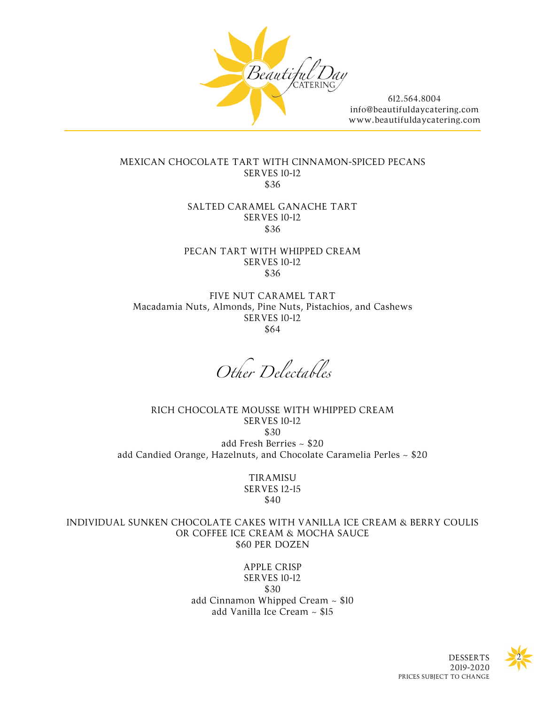

## MEXICAN CHOCOLATE TART WITH CINNAMON-SPICED PECANS SERVES 10-12 \$36

## SALTED CARAMEL GANACHE TART SERVES 10-12 \$36

## PECAN TART WITH WHIPPED CREAM SERVES 10-12 \$36

FIVE NUT CARAMEL TART Macadamia Nuts, Almonds, Pine Nuts, Pistachios, and Cashews SERVES 10-12 \$64

*Other Delectables*

RICH CHOCOLATE MOUSSE WITH WHIPPED CREAM SERVES 10-12 \$30 add Fresh Berries ~ \$20 add Candied Orange, Hazelnuts, and Chocolate Caramelia Perles ~ \$20

> **TIRAMISU** SERVES 12-15 \$40

INDIVIDUAL SUNKEN CHOCOLATE CAKES WITH VANILLA ICE CREAM & BERRY COULIS OR COFFEE ICE CREAM & MOCHA SAUCE \$60 PER DOZEN

> APPLE CRISP SERVES 10-12 \$30 add Cinnamon Whipped Cream ~ \$10 add Vanilla Ice Cream ~ \$15



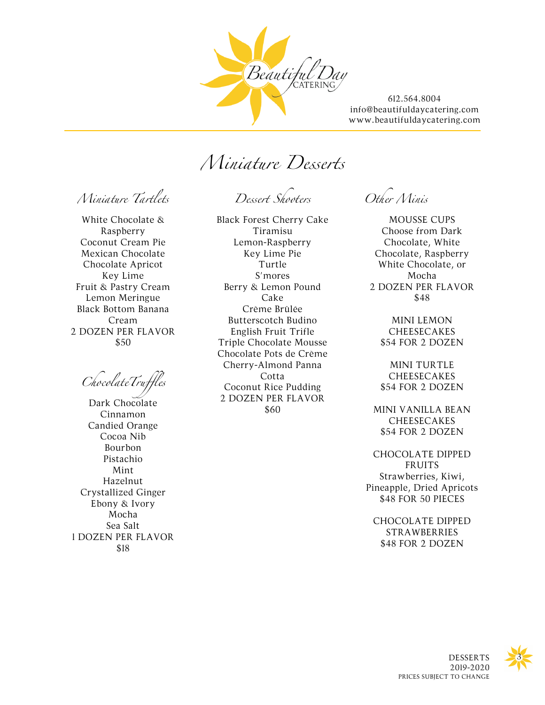

*Miniature Desserts*

*Miniature Tartlets*

White Chocolate & Raspberry Coconut Cream Pie Mexican Chocolate Chocolate Apricot Key Lime Fruit & Pastry Cream Lemon Meringue Black Bottom Banana Cream 2 DOZEN PER FLAVOR \$50

*ChocolateTruffles*

Dark Chocolate Cinnamon Candied Orange Cocoa Nib Bourbon Pistachio Mint Hazelnut Crystallized Ginger Ebony & Ivory Mocha Sea Salt 1 DOZEN PER FLAVOR \$18

*Dessert Shooters*

Black Forest Cherry Cake Tiramisu Lemon-Raspberry Key Lime Pie Turtle S'mores Berry & Lemon Pound Cake Crème Brûlée Butterscotch Budino English Fruit Trifle Triple Chocolate Mousse Chocolate Pots de Crème Cherry-Almond Panna Cotta Coconut Rice Pudding 2 DOZEN PER FLAVOR \$60

*Other Minis*

MOUSSE CUPS Choose from Dark Chocolate, White Chocolate, Raspberry White Chocolate, or Mocha 2 DOZEN PER FLAVOR \$48

MINI LEMON CHEESECAKES \$54 FOR 2 DOZEN

MINI TURTLE **CHEESECAKES** \$54 FOR 2 DOZEN

MINI VANILLA BEAN **CHEESECAKES** \$54 FOR 2 DOZEN

CHOCOLATE DIPPED FRUITS Strawberries, Kiwi, Pineapple, Dried Apricots \$48 FOR 50 PIECES

CHOCOLATE DIPPED STRAWBERRIES \$48 FOR 2 DOZEN